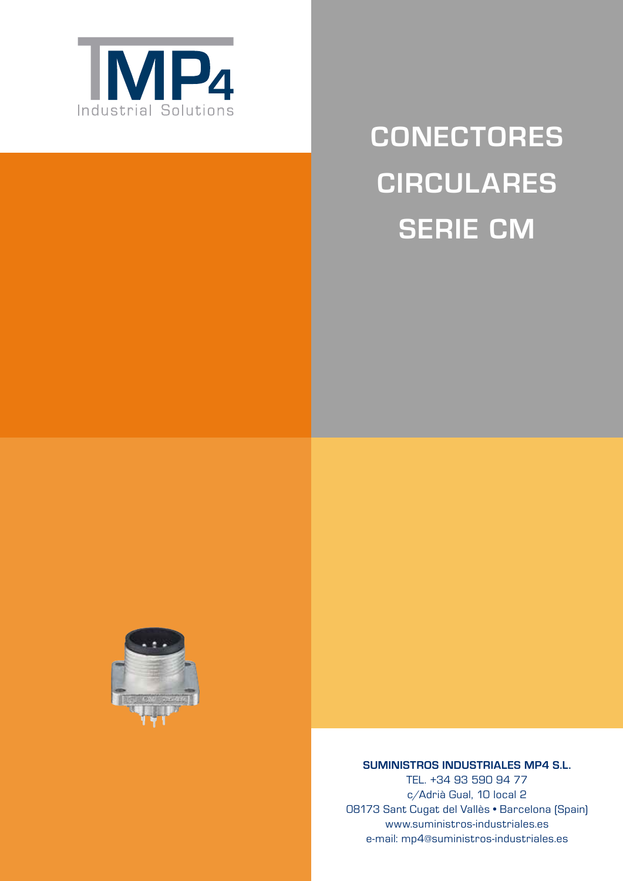

# **Conectores Circulares Serie CM**



## **SUMINISTROS INDUSTRIALES MP4 S.L.**

TEL. +34 93 590 94 77 c/Adrià Gual, 10 local 2 08173 Sant Cugat del Vallès • Barcelona (Spain) www.suministros-industriales.es e-mail: mp4@suministros-industriales.es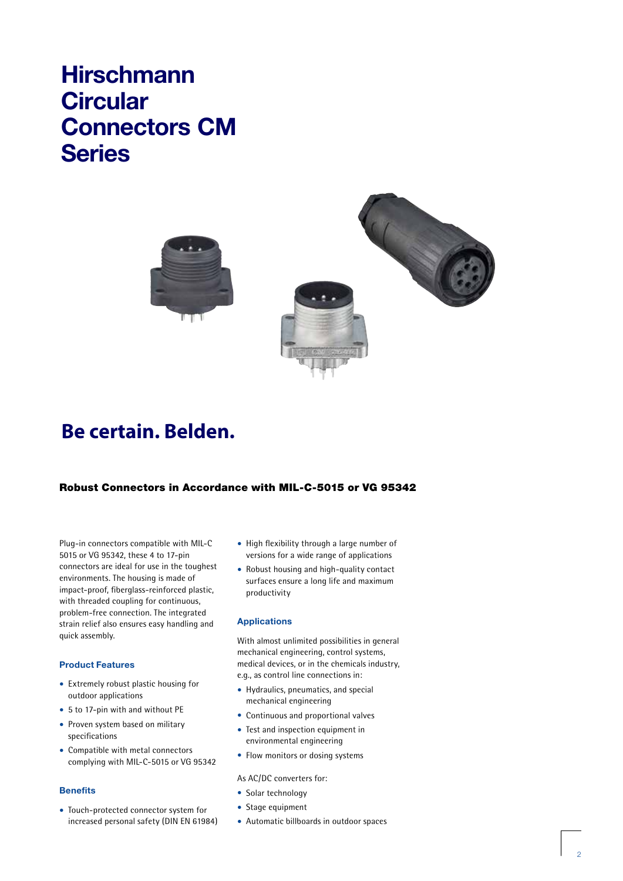# **Hirschmann Circular Connectors CM Series**





# **Be certain. Belden.**

# Robust Connectors in Accordance with MIL-C-5015 or VG 95342

Plug-in connectors compatible with MIL-C 5015 or VG 95342, these 4 to 17-pin connectors are ideal for use in the toughest environments. The housing is made of impact-proof, fiberglass-reinforced plastic, with threaded coupling for continuous, problem-free connection. The integrated strain relief also ensures easy handling and quick assembly.

#### **Product Features**

- Extremely robust plastic housing for outdoor applications
- 5 to 17-pin with and without PE
- Proven system based on military specifications
- Compatible with metal connectors complying with MIL-C-5015 or VG 95342

#### **Benefits**

• Touch-protected connector system for increased personal safety (DIN EN 61984)

- High flexibility through a large number of versions for a wide range of applications
- Robust housing and high-quality contact surfaces ensure a long life and maximum productivity

#### **Applications**

With almost unlimited possibilities in general mechanical engineering, control systems, medical devices, or in the chemicals industry, e.g., as control line connections in:

- Hydraulics, pneumatics, and special mechanical engineering
- Continuous and proportional valves
- Test and inspection equipment in environmental engineering
- Flow monitors or dosing systems

#### As AC/DC converters for:

- Solar technology
- Stage equipment
- Automatic billboards in outdoor spaces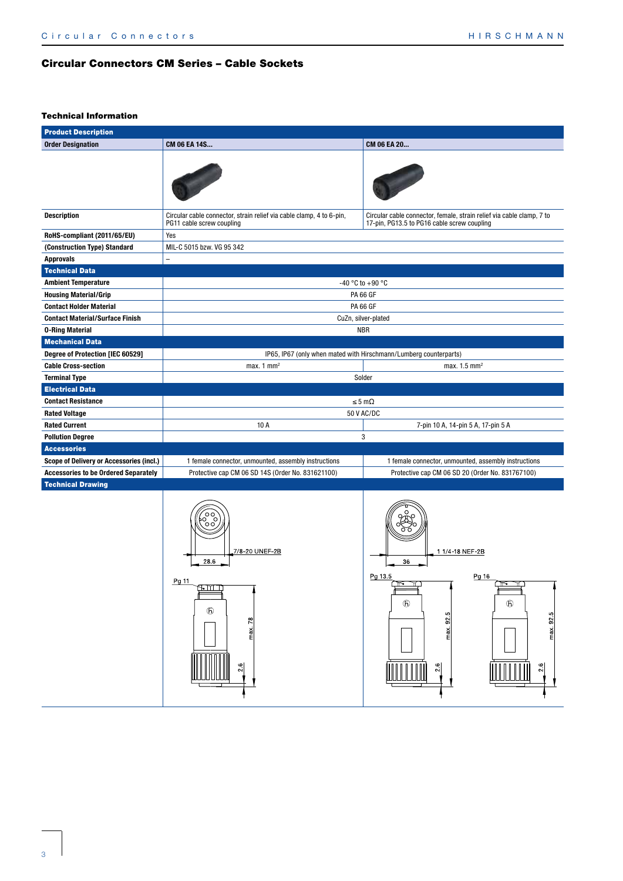# Circular Connectors CM Series – Cable Sockets

#### Technical Information

| <b>Product Description</b>                     |                                                                                                   |                                                                                                                      |  |  |  |
|------------------------------------------------|---------------------------------------------------------------------------------------------------|----------------------------------------------------------------------------------------------------------------------|--|--|--|
| <b>Order Designation</b>                       | CM 06 EA 14S                                                                                      | CM 06 EA 20                                                                                                          |  |  |  |
|                                                |                                                                                                   |                                                                                                                      |  |  |  |
| <b>Description</b>                             | Circular cable connector, strain relief via cable clamp, 4 to 6-pin,<br>PG11 cable screw coupling | Circular cable connector, female, strain relief via cable clamp, 7 to<br>17-pin, PG13.5 to PG16 cable screw coupling |  |  |  |
| RoHS-compliant (2011/65/EU)                    | Yes                                                                                               |                                                                                                                      |  |  |  |
| (Construction Type) Standard                   | MIL-C 5015 bzw. VG 95 342                                                                         |                                                                                                                      |  |  |  |
| <b>Approvals</b>                               |                                                                                                   |                                                                                                                      |  |  |  |
| <b>Technical Data</b>                          |                                                                                                   |                                                                                                                      |  |  |  |
| <b>Ambient Temperature</b>                     |                                                                                                   | -40 °C to +90 °C                                                                                                     |  |  |  |
| <b>Housing Material/Grip</b>                   |                                                                                                   | <b>PA 66 GF</b>                                                                                                      |  |  |  |
| <b>Contact Holder Material</b>                 |                                                                                                   | <b>PA 66 GF</b>                                                                                                      |  |  |  |
| <b>Contact Material/Surface Finish</b>         |                                                                                                   | CuZn, silver-plated                                                                                                  |  |  |  |
| <b>0-Ring Material</b>                         |                                                                                                   | <b>NBR</b>                                                                                                           |  |  |  |
| <b>Mechanical Data</b>                         |                                                                                                   |                                                                                                                      |  |  |  |
| Degree of Protection [IEC 60529]               |                                                                                                   | IP65, IP67 (only when mated with Hirschmann/Lumberg counterparts)                                                    |  |  |  |
| <b>Cable Cross-section</b>                     | max. 1 $mm2$                                                                                      | max. $1.5$ mm <sup>2</sup><br>Solder                                                                                 |  |  |  |
| <b>Terminal Type</b><br><b>Electrical Data</b> |                                                                                                   |                                                                                                                      |  |  |  |
| <b>Contact Resistance</b>                      |                                                                                                   | $\leq 5 \text{ m}\Omega$                                                                                             |  |  |  |
| <b>Rated Voltage</b>                           |                                                                                                   | 50 V AC/DC                                                                                                           |  |  |  |
| <b>Rated Current</b>                           | 10 A                                                                                              | 7-pin 10 A, 14-pin 5 A, 17-pin 5 A                                                                                   |  |  |  |
| <b>Pollution Degree</b>                        |                                                                                                   | 3                                                                                                                    |  |  |  |
| <b>Accessories</b>                             |                                                                                                   |                                                                                                                      |  |  |  |
| Scope of Delivery or Accessories (incl.)       | 1 female connector, unmounted, assembly instructions                                              | 1 female connector, unmounted, assembly instructions                                                                 |  |  |  |
| <b>Accessories to be Ordered Separately</b>    | Protective cap CM 06 SD 14S (Order No. 831621100)                                                 | Protective cap CM 06 SD 20 (Order No. 831767100)                                                                     |  |  |  |
| <b>Technical Drawing</b>                       |                                                                                                   |                                                                                                                      |  |  |  |
|                                                | 7/8-20 UNEF-2B<br>28.6<br>Pg 11<br>15. TIMB<br>$\mathfrak{G}$<br>max 78<br>$\frac{2.6}{ }$        | 1 1/4 18 NEF 2B<br>36<br>Pg 13.5<br>Pg 16<br>∩∾<br>$^{\circ}$<br>$\circledf$<br>max 925<br>max 92.5<br>2.6<br>2.6    |  |  |  |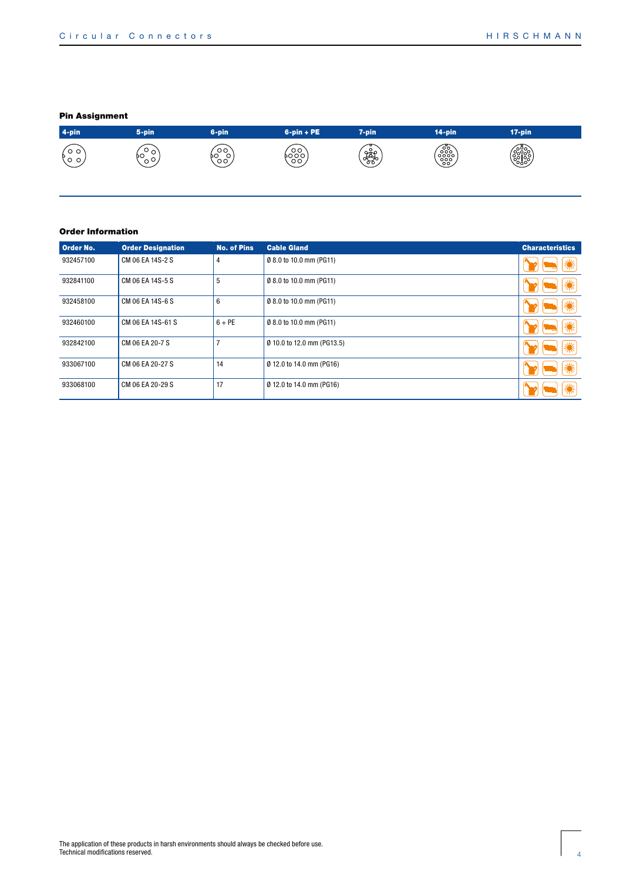## Pin Assignment



#### Order Information

| Order No. | <b>Order Designation</b> | <b>No. of Pins</b> | <b>Cable Gland</b>         | <b>Characteristics</b> |
|-----------|--------------------------|--------------------|----------------------------|------------------------|
| 932457100 | CM 06 EA 14S-2 S         | $\overline{4}$     | Ø 8.0 to 10.0 mm (PG11)    |                        |
| 932841100 | CM 06 EA 14S-5 S         | 5                  | Ø 8.0 to 10.0 mm (PG11)    |                        |
| 932458100 | CM 06 EA 14S-6 S         | 6                  | Ø 8.0 to 10.0 mm (PG11)    |                        |
| 932460100 | CM 06 EA 14S-61 S        | $6 + PE$           | Ø 8.0 to 10.0 mm (PG11)    |                        |
| 932842100 | CM 06 EA 20-7 S          | п,                 | Ø 10.0 to 12.0 mm (PG13.5) |                        |
| 933067100 | CM 06 EA 20-27 S         | 14                 | Ø 12.0 to 14.0 mm (PG16)   |                        |
| 933068100 | CM 06 EA 20-29 S         | 17                 | Ø 12.0 to 14.0 mm (PG16)   |                        |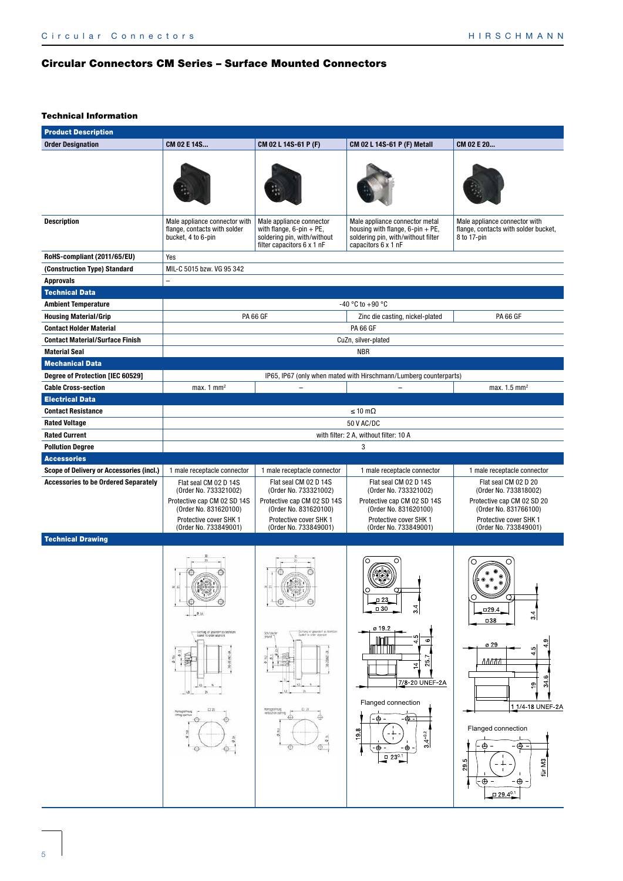# Circular Connectors CM Series – Surface Mounted Connectors

#### Technical Information

| <b>Order Designation</b><br>CM 02 E 14S<br>CM 02 L 14S-61 P (F)<br>CM 02 L 14S-61 P (F) Metall<br>CM 02 E 20<br><b>Description</b><br>Male appliance connector with<br>Male appliance connector<br>Male appliance connector metal<br>Male appliance connector with<br>housing with flange, $6$ -pin + PE,<br>flange, contacts with solder<br>with flange, $6$ -pin + PE,<br>bucket, 4 to 6-pin<br>soldering pin, with/without<br>soldering pin, with/without filter<br>8 to 17-pin<br>filter capacitors 6 x 1 nF<br>capacitors 6 x 1 nF<br>RoHS-compliant (2011/65/EU)<br>Yes<br>(Construction Type) Standard<br>MIL-C 5015 bzw. VG 95 342<br><b>Approvals</b><br><b>Technical Data</b><br>-40 °C to +90 °C<br><b>Ambient Temperature</b><br><b>PA 66 GF</b><br><b>Housing Material/Grip</b><br>Zinc die casting, nickel-plated<br><b>PA 66 GF</b><br><b>Contact Holder Material</b><br><b>PA 66 GF</b><br><b>Contact Material/Surface Finish</b><br>CuZn, silver-plated<br><b>Material Seal</b><br><b>NBR</b><br><b>Mechanical Data</b><br>Degree of Protection [IEC 60529]<br>IP65, IP67 (only when mated with Hirschmann/Lumberg counterparts)<br><b>Cable Cross-section</b><br>max. $1 \text{ mm}^2$<br>max. $1.5$ mm <sup>2</sup><br>$\qquad \qquad -$<br><b>Electrical Data</b><br>$\leq 10 \text{ m}\Omega$<br><b>Contact Resistance</b><br><b>Rated Voltage</b><br>50 V AC/DC<br><b>Rated Current</b><br>with filter: 2 A, without filter: 10 A<br>3<br><b>Pollution Degree</b><br><b>Accessories</b><br><b>Scope of Delivery or Accessories (incl.)</b><br>1 male receptacle connector<br>1 male receptacle connector<br>1 male receptacle connector<br>1 male receptacle connector<br><b>Accessories to be Ordered Separately</b><br>Flat seal CM 02 D 14S<br>Flat seal CM 02 D 14S<br>Flat seal CM 02 D 14S<br>Flat seal CM 02 D 20<br>(Order No. 733321002)<br>(Order No. 733321002)<br>(Order No. 733321002)<br>(Order No. 733818002)<br>Protective cap CM 02 SD 14S<br>Protective cap CM 02 SD 14S<br>Protective cap CM 02 SD 14S<br>Protective cap CM 02 SD 20<br>(Order No. 831620100)<br>(Order No. 831620100)<br>(Order No. 831620100)<br>(Order No. 831766100)<br>Protective cover SHK 1<br>Protective cover SHK 1<br>Protective cover SHK 1<br>Protective cover SHK 1<br>(Order No. 733849001)<br>(Order No. 733849001)<br>(Order No. 733849001)<br>(Order No. 733849001)<br><b>Technical Drawing</b><br>O<br>$\sigma$<br>0.23<br>O<br>Θ<br>Θ<br>40<br>3.4<br>$\Box$ 30<br>$\Box$ 29.4<br>$\frac{34}{3}$<br>016<br>□38<br>ø 19.2<br>-Dichtung ist gekontent zu testelzen<br>Tipskiet to omter neuerste<br>Octring ist geverdert zu testellen<br>Saviet to order arpenste<br>Schutzleiter<br>ground<br>$\circ$<br>ၜ<br>ø 29<br>$\overline{ }$<br>Б<br>$\frac{9.6}{9.6}$<br>₹<br>谓<br>$\ddot{\theta}$<br>is o<br>лллт<br>25.<br>긔<br>ဖ<br>7/8-20 UNEF-2A<br>$\approx$<br>$\overline{\mathcal{Q}}$<br>- 45.<br>13<br>Flanged connection<br>13.23<br>Montageoftrang<br>0.21<br>annon reitables<br>Afring operate<br>⊕<br>⊕<br>$\oplus$<br>- ⊕ =<br>Θ<br>-69<br>Flanged connection<br>$\infty$<br>$3.4 + 0.2$<br>ത<br>$\oplus$ -<br>⊕<br>$\oplus$<br>⊕<br>⊕<br>$-\bigoplus$ .<br>Θ<br>$\sqrt{230.1}$<br>r. | <b>Product Description</b> |  |  |  |                                      |  |
|---------------------------------------------------------------------------------------------------------------------------------------------------------------------------------------------------------------------------------------------------------------------------------------------------------------------------------------------------------------------------------------------------------------------------------------------------------------------------------------------------------------------------------------------------------------------------------------------------------------------------------------------------------------------------------------------------------------------------------------------------------------------------------------------------------------------------------------------------------------------------------------------------------------------------------------------------------------------------------------------------------------------------------------------------------------------------------------------------------------------------------------------------------------------------------------------------------------------------------------------------------------------------------------------------------------------------------------------------------------------------------------------------------------------------------------------------------------------------------------------------------------------------------------------------------------------------------------------------------------------------------------------------------------------------------------------------------------------------------------------------------------------------------------------------------------------------------------------------------------------------------------------------------------------------------------------------------------------------------------------------------------------------------------------------------------------------------------------------------------------------------------------------------------------------------------------------------------------------------------------------------------------------------------------------------------------------------------------------------------------------------------------------------------------------------------------------------------------------------------------------------------------------------------------------------------------------------------------------------------------------------------------------------------------------------------------------------------------------------------------------------------------------------------------------------------------------------------------------------------------------------------------------------------------------------------------------------------------------------------------------------------------------------------------------------------------------------------------------------------------------------------------------------------------------------------------------------------------------|----------------------------|--|--|--|--------------------------------------|--|
|                                                                                                                                                                                                                                                                                                                                                                                                                                                                                                                                                                                                                                                                                                                                                                                                                                                                                                                                                                                                                                                                                                                                                                                                                                                                                                                                                                                                                                                                                                                                                                                                                                                                                                                                                                                                                                                                                                                                                                                                                                                                                                                                                                                                                                                                                                                                                                                                                                                                                                                                                                                                                                                                                                                                                                                                                                                                                                                                                                                                                                                                                                                                                                                                                           |                            |  |  |  |                                      |  |
|                                                                                                                                                                                                                                                                                                                                                                                                                                                                                                                                                                                                                                                                                                                                                                                                                                                                                                                                                                                                                                                                                                                                                                                                                                                                                                                                                                                                                                                                                                                                                                                                                                                                                                                                                                                                                                                                                                                                                                                                                                                                                                                                                                                                                                                                                                                                                                                                                                                                                                                                                                                                                                                                                                                                                                                                                                                                                                                                                                                                                                                                                                                                                                                                                           |                            |  |  |  |                                      |  |
|                                                                                                                                                                                                                                                                                                                                                                                                                                                                                                                                                                                                                                                                                                                                                                                                                                                                                                                                                                                                                                                                                                                                                                                                                                                                                                                                                                                                                                                                                                                                                                                                                                                                                                                                                                                                                                                                                                                                                                                                                                                                                                                                                                                                                                                                                                                                                                                                                                                                                                                                                                                                                                                                                                                                                                                                                                                                                                                                                                                                                                                                                                                                                                                                                           |                            |  |  |  | flange, contacts with solder bucket, |  |
|                                                                                                                                                                                                                                                                                                                                                                                                                                                                                                                                                                                                                                                                                                                                                                                                                                                                                                                                                                                                                                                                                                                                                                                                                                                                                                                                                                                                                                                                                                                                                                                                                                                                                                                                                                                                                                                                                                                                                                                                                                                                                                                                                                                                                                                                                                                                                                                                                                                                                                                                                                                                                                                                                                                                                                                                                                                                                                                                                                                                                                                                                                                                                                                                                           |                            |  |  |  |                                      |  |
|                                                                                                                                                                                                                                                                                                                                                                                                                                                                                                                                                                                                                                                                                                                                                                                                                                                                                                                                                                                                                                                                                                                                                                                                                                                                                                                                                                                                                                                                                                                                                                                                                                                                                                                                                                                                                                                                                                                                                                                                                                                                                                                                                                                                                                                                                                                                                                                                                                                                                                                                                                                                                                                                                                                                                                                                                                                                                                                                                                                                                                                                                                                                                                                                                           |                            |  |  |  |                                      |  |
|                                                                                                                                                                                                                                                                                                                                                                                                                                                                                                                                                                                                                                                                                                                                                                                                                                                                                                                                                                                                                                                                                                                                                                                                                                                                                                                                                                                                                                                                                                                                                                                                                                                                                                                                                                                                                                                                                                                                                                                                                                                                                                                                                                                                                                                                                                                                                                                                                                                                                                                                                                                                                                                                                                                                                                                                                                                                                                                                                                                                                                                                                                                                                                                                                           |                            |  |  |  |                                      |  |
|                                                                                                                                                                                                                                                                                                                                                                                                                                                                                                                                                                                                                                                                                                                                                                                                                                                                                                                                                                                                                                                                                                                                                                                                                                                                                                                                                                                                                                                                                                                                                                                                                                                                                                                                                                                                                                                                                                                                                                                                                                                                                                                                                                                                                                                                                                                                                                                                                                                                                                                                                                                                                                                                                                                                                                                                                                                                                                                                                                                                                                                                                                                                                                                                                           |                            |  |  |  |                                      |  |
|                                                                                                                                                                                                                                                                                                                                                                                                                                                                                                                                                                                                                                                                                                                                                                                                                                                                                                                                                                                                                                                                                                                                                                                                                                                                                                                                                                                                                                                                                                                                                                                                                                                                                                                                                                                                                                                                                                                                                                                                                                                                                                                                                                                                                                                                                                                                                                                                                                                                                                                                                                                                                                                                                                                                                                                                                                                                                                                                                                                                                                                                                                                                                                                                                           |                            |  |  |  |                                      |  |
|                                                                                                                                                                                                                                                                                                                                                                                                                                                                                                                                                                                                                                                                                                                                                                                                                                                                                                                                                                                                                                                                                                                                                                                                                                                                                                                                                                                                                                                                                                                                                                                                                                                                                                                                                                                                                                                                                                                                                                                                                                                                                                                                                                                                                                                                                                                                                                                                                                                                                                                                                                                                                                                                                                                                                                                                                                                                                                                                                                                                                                                                                                                                                                                                                           |                            |  |  |  |                                      |  |
|                                                                                                                                                                                                                                                                                                                                                                                                                                                                                                                                                                                                                                                                                                                                                                                                                                                                                                                                                                                                                                                                                                                                                                                                                                                                                                                                                                                                                                                                                                                                                                                                                                                                                                                                                                                                                                                                                                                                                                                                                                                                                                                                                                                                                                                                                                                                                                                                                                                                                                                                                                                                                                                                                                                                                                                                                                                                                                                                                                                                                                                                                                                                                                                                                           |                            |  |  |  |                                      |  |
|                                                                                                                                                                                                                                                                                                                                                                                                                                                                                                                                                                                                                                                                                                                                                                                                                                                                                                                                                                                                                                                                                                                                                                                                                                                                                                                                                                                                                                                                                                                                                                                                                                                                                                                                                                                                                                                                                                                                                                                                                                                                                                                                                                                                                                                                                                                                                                                                                                                                                                                                                                                                                                                                                                                                                                                                                                                                                                                                                                                                                                                                                                                                                                                                                           |                            |  |  |  |                                      |  |
|                                                                                                                                                                                                                                                                                                                                                                                                                                                                                                                                                                                                                                                                                                                                                                                                                                                                                                                                                                                                                                                                                                                                                                                                                                                                                                                                                                                                                                                                                                                                                                                                                                                                                                                                                                                                                                                                                                                                                                                                                                                                                                                                                                                                                                                                                                                                                                                                                                                                                                                                                                                                                                                                                                                                                                                                                                                                                                                                                                                                                                                                                                                                                                                                                           |                            |  |  |  |                                      |  |
|                                                                                                                                                                                                                                                                                                                                                                                                                                                                                                                                                                                                                                                                                                                                                                                                                                                                                                                                                                                                                                                                                                                                                                                                                                                                                                                                                                                                                                                                                                                                                                                                                                                                                                                                                                                                                                                                                                                                                                                                                                                                                                                                                                                                                                                                                                                                                                                                                                                                                                                                                                                                                                                                                                                                                                                                                                                                                                                                                                                                                                                                                                                                                                                                                           |                            |  |  |  |                                      |  |
|                                                                                                                                                                                                                                                                                                                                                                                                                                                                                                                                                                                                                                                                                                                                                                                                                                                                                                                                                                                                                                                                                                                                                                                                                                                                                                                                                                                                                                                                                                                                                                                                                                                                                                                                                                                                                                                                                                                                                                                                                                                                                                                                                                                                                                                                                                                                                                                                                                                                                                                                                                                                                                                                                                                                                                                                                                                                                                                                                                                                                                                                                                                                                                                                                           |                            |  |  |  |                                      |  |
|                                                                                                                                                                                                                                                                                                                                                                                                                                                                                                                                                                                                                                                                                                                                                                                                                                                                                                                                                                                                                                                                                                                                                                                                                                                                                                                                                                                                                                                                                                                                                                                                                                                                                                                                                                                                                                                                                                                                                                                                                                                                                                                                                                                                                                                                                                                                                                                                                                                                                                                                                                                                                                                                                                                                                                                                                                                                                                                                                                                                                                                                                                                                                                                                                           |                            |  |  |  |                                      |  |
|                                                                                                                                                                                                                                                                                                                                                                                                                                                                                                                                                                                                                                                                                                                                                                                                                                                                                                                                                                                                                                                                                                                                                                                                                                                                                                                                                                                                                                                                                                                                                                                                                                                                                                                                                                                                                                                                                                                                                                                                                                                                                                                                                                                                                                                                                                                                                                                                                                                                                                                                                                                                                                                                                                                                                                                                                                                                                                                                                                                                                                                                                                                                                                                                                           |                            |  |  |  |                                      |  |
|                                                                                                                                                                                                                                                                                                                                                                                                                                                                                                                                                                                                                                                                                                                                                                                                                                                                                                                                                                                                                                                                                                                                                                                                                                                                                                                                                                                                                                                                                                                                                                                                                                                                                                                                                                                                                                                                                                                                                                                                                                                                                                                                                                                                                                                                                                                                                                                                                                                                                                                                                                                                                                                                                                                                                                                                                                                                                                                                                                                                                                                                                                                                                                                                                           |                            |  |  |  |                                      |  |
|                                                                                                                                                                                                                                                                                                                                                                                                                                                                                                                                                                                                                                                                                                                                                                                                                                                                                                                                                                                                                                                                                                                                                                                                                                                                                                                                                                                                                                                                                                                                                                                                                                                                                                                                                                                                                                                                                                                                                                                                                                                                                                                                                                                                                                                                                                                                                                                                                                                                                                                                                                                                                                                                                                                                                                                                                                                                                                                                                                                                                                                                                                                                                                                                                           |                            |  |  |  |                                      |  |
|                                                                                                                                                                                                                                                                                                                                                                                                                                                                                                                                                                                                                                                                                                                                                                                                                                                                                                                                                                                                                                                                                                                                                                                                                                                                                                                                                                                                                                                                                                                                                                                                                                                                                                                                                                                                                                                                                                                                                                                                                                                                                                                                                                                                                                                                                                                                                                                                                                                                                                                                                                                                                                                                                                                                                                                                                                                                                                                                                                                                                                                                                                                                                                                                                           |                            |  |  |  |                                      |  |
|                                                                                                                                                                                                                                                                                                                                                                                                                                                                                                                                                                                                                                                                                                                                                                                                                                                                                                                                                                                                                                                                                                                                                                                                                                                                                                                                                                                                                                                                                                                                                                                                                                                                                                                                                                                                                                                                                                                                                                                                                                                                                                                                                                                                                                                                                                                                                                                                                                                                                                                                                                                                                                                                                                                                                                                                                                                                                                                                                                                                                                                                                                                                                                                                                           |                            |  |  |  |                                      |  |
|                                                                                                                                                                                                                                                                                                                                                                                                                                                                                                                                                                                                                                                                                                                                                                                                                                                                                                                                                                                                                                                                                                                                                                                                                                                                                                                                                                                                                                                                                                                                                                                                                                                                                                                                                                                                                                                                                                                                                                                                                                                                                                                                                                                                                                                                                                                                                                                                                                                                                                                                                                                                                                                                                                                                                                                                                                                                                                                                                                                                                                                                                                                                                                                                                           |                            |  |  |  |                                      |  |
|                                                                                                                                                                                                                                                                                                                                                                                                                                                                                                                                                                                                                                                                                                                                                                                                                                                                                                                                                                                                                                                                                                                                                                                                                                                                                                                                                                                                                                                                                                                                                                                                                                                                                                                                                                                                                                                                                                                                                                                                                                                                                                                                                                                                                                                                                                                                                                                                                                                                                                                                                                                                                                                                                                                                                                                                                                                                                                                                                                                                                                                                                                                                                                                                                           |                            |  |  |  |                                      |  |
|                                                                                                                                                                                                                                                                                                                                                                                                                                                                                                                                                                                                                                                                                                                                                                                                                                                                                                                                                                                                                                                                                                                                                                                                                                                                                                                                                                                                                                                                                                                                                                                                                                                                                                                                                                                                                                                                                                                                                                                                                                                                                                                                                                                                                                                                                                                                                                                                                                                                                                                                                                                                                                                                                                                                                                                                                                                                                                                                                                                                                                                                                                                                                                                                                           |                            |  |  |  |                                      |  |
|                                                                                                                                                                                                                                                                                                                                                                                                                                                                                                                                                                                                                                                                                                                                                                                                                                                                                                                                                                                                                                                                                                                                                                                                                                                                                                                                                                                                                                                                                                                                                                                                                                                                                                                                                                                                                                                                                                                                                                                                                                                                                                                                                                                                                                                                                                                                                                                                                                                                                                                                                                                                                                                                                                                                                                                                                                                                                                                                                                                                                                                                                                                                                                                                                           |                            |  |  |  |                                      |  |
|                                                                                                                                                                                                                                                                                                                                                                                                                                                                                                                                                                                                                                                                                                                                                                                                                                                                                                                                                                                                                                                                                                                                                                                                                                                                                                                                                                                                                                                                                                                                                                                                                                                                                                                                                                                                                                                                                                                                                                                                                                                                                                                                                                                                                                                                                                                                                                                                                                                                                                                                                                                                                                                                                                                                                                                                                                                                                                                                                                                                                                                                                                                                                                                                                           |                            |  |  |  |                                      |  |
| ⊕<br>- ⊕<br>$\Box$ 29.4 <sup>0.1</sup>                                                                                                                                                                                                                                                                                                                                                                                                                                                                                                                                                                                                                                                                                                                                                                                                                                                                                                                                                                                                                                                                                                                                                                                                                                                                                                                                                                                                                                                                                                                                                                                                                                                                                                                                                                                                                                                                                                                                                                                                                                                                                                                                                                                                                                                                                                                                                                                                                                                                                                                                                                                                                                                                                                                                                                                                                                                                                                                                                                                                                                                                                                                                                                                    |                            |  |  |  | 1 1/4 18 UNEF 2A<br>für M3<br>29     |  |